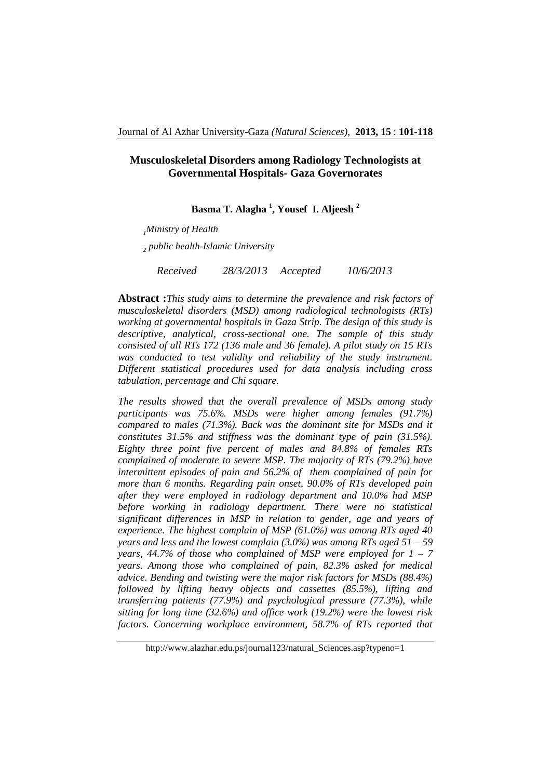### **Musculoskeletal Disorders among Radiology Technologists at Governmental Hospitals- Gaza Governorates**

**Basma T. Alagha <sup>1</sup> , Yousef I. Aljeesh <sup>2</sup>**

*<sup>1</sup>Ministry of Health*

*2 public health-Islamic University*

*Received 28/3/2013 Accepted 10/6/2013*

**Abstract :***This study aims to determine the prevalence and risk factors of musculoskeletal disorders (MSD) among radiological technologists (RTs) working at governmental hospitals in Gaza Strip. The design of this study is descriptive, analytical, cross-sectional one. The sample of this study consisted of all RTs 172 (136 male and 36 female). A pilot study on 15 RTs was conducted to test validity and reliability of the study instrument. Different statistical procedures used for data analysis including cross tabulation, percentage and Chi square.* 

*The results showed that the overall prevalence of MSDs among study participants was 75.6%. MSDs were higher among females (91.7%) compared to males (71.3%). Back was the dominant site for MSDs and it constitutes 31.5% and stiffness was the dominant type of pain (31.5%). Eighty three point five percent of males and 84.8% of females RTs complained of moderate to severe MSP. The majority of RTs (79.2%) have intermittent episodes of pain and 56.2% of them complained of pain for more than 6 months. Regarding pain onset, 90.0% of RTs developed pain after they were employed in radiology department and 10.0% had MSP before working in radiology department. There were no statistical significant differences in MSP in relation to gender, age and years of experience. The highest complain of MSP (61.0%) was among RTs aged 40 years and less and the lowest complain (3.0%) was among RTs aged 51 – 59 years, 44.7% of those who complained of MSP were employed for 1 – 7 years. Among those who complained of pain, 82.3% asked for medical advice. Bending and twisting were the major risk factors for MSDs (88.4%) followed by lifting heavy objects and cassettes (85.5%), lifting and transferring patients (77.9%) and psychological pressure (77.3%), while sitting for long time (32.6%) and office work (19.2%) were the lowest risk factors. Concerning workplace environment, 58.7% of RTs reported that* 

http://www.alazhar.edu.ps/journal123/natural\_Sciences.asp?typeno=1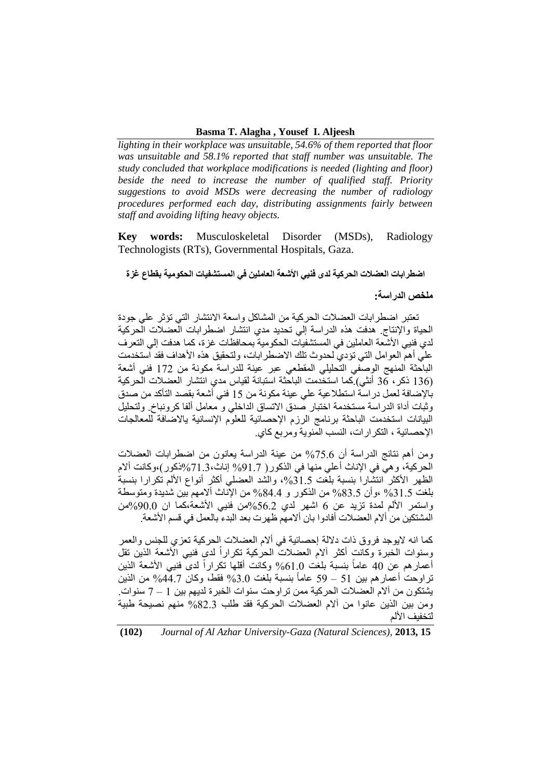#### **Basma T. Alagha , Yousef I. Aljeesh**

*lighting in their workplace was unsuitable, 54.6% of them reported that floor was unsuitable and 58.1% reported that staff number was unsuitable. The study concluded that workplace modifications is needed (lighting and floor) beside the need to increase the number of qualified staff. Priority suggestions to avoid MSDs were decreasing the number of radiology procedures performed each day, distributing assignments fairly between staff and avoiding lifting heavy objects.*

**Key words:** Musculoskeletal Disorder (MSDs), Radiology Technologists (RTs), Governmental Hospitals, Gaza.

### **اضطرابات العضالت الحركية لدى فنيي األشعة العاملين في المستشفيات الحكومية بقطاع غزة**

**ملخص الدراسة:**

 تعتبر اضطرابات العضالت الحركية من المشاكل واسعة االنتشار التي تؤثر علي جودة الحياة واإلنتاج. هدفت هذه الدراسة إلي تحديد مدي انتشار اضطرابات العضالت الحركية لدي فنيي األشعة العاملين في المستشفيات الحكومية بمحافظات غزة، كما هدفت إلي التعرف علي أهم العوامل التي تؤدي لحدوث تلك االضطرابات، ولتحقيق هذه األهداف فقد استخدمت الباحثة المنهج الوصفي التحليلي المقطعي عبر عينة للدراسة مكونة من 271 فني أشعة )231 ذكر، 31 أنثي(.كما استخدمت الباحثة استبانة لقياس مدي انتشار العضالت الحركية باإلضافة لعمل دراسة استطالعية علي عينة مكونة من 21 فني أشعة بقصد التأكد من صدق وثبات أداة الدراسة مستخدمة اختبار صدق االتساق الداخلي و معامل ألفا كرونباخ. ولتحليل البيانات استخدمت الباحثة برنامج الرزم الإحصائية للعلوم الإنسانية يالاضافة للمعالجات اإلحصائية ، التكرارات، النسب المئوية ومربع كاي.

ومن أهم نتائج الدراسة أن %71.1 من عينة الدراسة يعانون من اضطرابات العضالت الحركية، وهي في اإلناث أعلي منها في الذكور) %72.7 إناث%72.3،ذكور(،وكانت أالم الظهر الأكثر انتشارا بنسبة بلغت 31.5%، والشد العضلي أكثر أنواع الألم تكرارا بنسبة بلغت %32.1 ،وأن %53.1 من الذكور و %58.8 من اإلناث أالمهم بين شديدة ومتوسطة واستمر الألم لمدة تزيد عن 6 اشهر لدى 56.2%من فنيي الأشعة،كما ان 90.0%من المشتكين من ألام العضلات أفادوا بان ألامهم ظهرت بعد البدء بالعمل في قسم الأشعة.

كما انه اليوجد فروق ذات داللة إحصائية في أالم العضالت الحركية تعزي للجنس والعمر رسنوات الخبرة وكانت أكثر ألام العضلات الحركية تكراراً لدي فنيي الأشعة الذين تقل ً أعمار هم عن 40 عاماً بنسبة بلغت 1.0% وكانت أقلها تكراراً لدىً فنيي الأشعة الذين ً تراوحت أعمارهم بين 51 – 59 عاماً بنسبة بلغت 3.0% فقط، وكان 44.7% من الذين يشتكون من آالم العضالت الحركية ممن تراوحت سنوات الخبرة لديهم بين 2 – 7 سنوات. ومن بين الذين عانوا من ألام العضلات الحركية فقد طلب 82.3% منهم نصيحة طبية لتخفيف الألم

**(102)** *Journal of Al Azhar University-Gaza (Natural Sciences),* **2013, 15**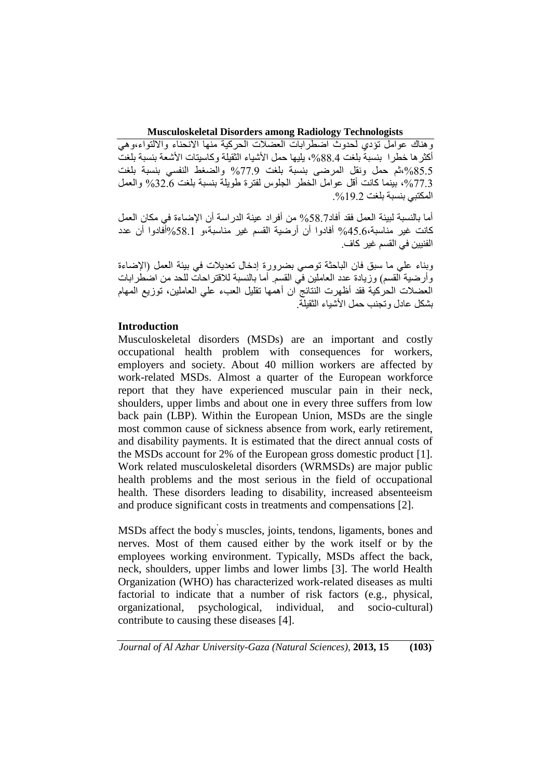وهناك عوامل تؤدي لحدوث اضطرابات العضالت الحركية منها االنحناء وااللتواء،وهي أكثر ها خطرا بنسبةً بلغت 88.4%، يليها حمل الأشياء الثقيلة وكاسيتات الأشعة بنسبة بلغت ،%51.1ثم حمل ونقل المرضى بنسبة بلغت %77.7 والضغط النفسي بنسبة بلغت ،%77.3 بينما كانت أقل عوامل الخطر الجلوس لفترة طويلة بنسبة بلغت %31.1 والعمل المكتبي بنسبة بلغت 19.2%.

أما بالنسبة لبيئة العمل فقد أفاد%15.7 من أفراد عينة الدراسة أن اإلضاءة في مكان العمل كانت غير مناسبة%81.1، أفادوا أن أرضية القسم غير مناسبة،و %15.2أفادوا أن عدد الفنيين في القسم غير كاف.

وبناء علي ما سبق فان الباحثة توصي بضرورة إدخال تعديالت في بيئة العمل )اإلضاءة وأرضية القسم) وزيادة عدد العاملين في القسم. أما بالنسبة للاقتراحات للحد من اضطرابات العضالت الحركية فقد أظهرت النتائج ان أهمها تقليل العبء علي العاملين، توزيع المهام بشكل عادل وتجنب حمل األشياء الثقيلة.

## **Introduction**

Musculoskeletal disorders (MSDs) are an important and costly occupational health problem with consequences for workers, employers and society. About 40 million workers are affected by work-related MSDs. Almost a quarter of the European workforce report that they have experienced muscular pain in their neck, shoulders, upper limbs and about one in every three suffers from low back pain (LBP). Within the European Union, MSDs are the single most common cause of sickness absence from work, early retirement, and disability payments. It is estimated that the direct annual costs of the MSDs account for 2% of the European gross domestic product [1]. Work related musculoskeletal disorders (WRMSDs) are major public health problems and the most serious in the field of occupational health. These disorders leading to disability, increased absenteeism and produce significant costs in treatments and compensations [2].

MSDs affect the body' s muscles, joints, tendons, ligaments, bones and nerves. Most of them caused either by the work itself or by the employees working environment. Typically, MSDs affect the back, neck, shoulders, upper limbs and lower limbs [3]. The world Health Organization (WHO) has characterized work-related diseases as multi factorial to indicate that a number of risk factors (e.g., physical, organizational, psychological, individual, and socio-cultural) contribute to causing these diseases [4].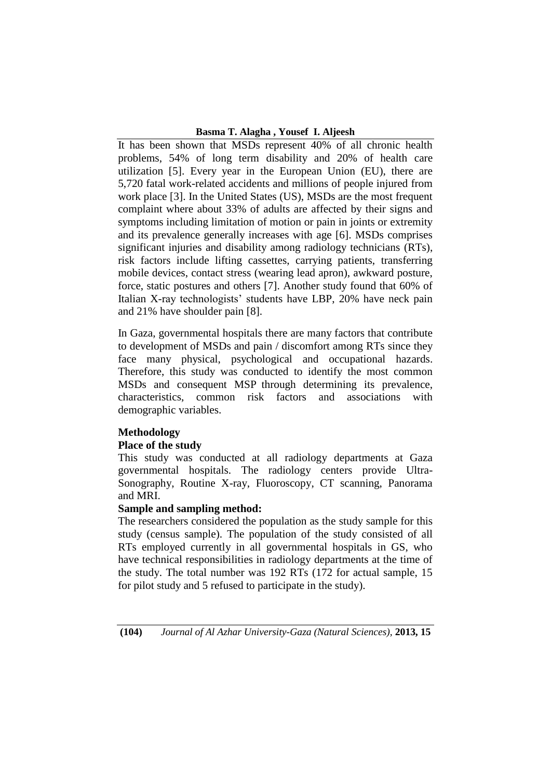### **Basma T. Alagha , Yousef I. Aljeesh**

It has been shown that MSDs represent 40% of all chronic health problems, 54% of long term disability and 20% of health care utilization [5]. Every year in the European Union (EU), there are 5,720 fatal work-related accidents and millions of people injured from work place [3]. In the United States (US), MSDs are the most frequent complaint where about 33% of adults are affected by their signs and symptoms including limitation of motion or pain in joints or extremity and its prevalence generally increases with age [6]. MSDs comprises significant injuries and disability among radiology technicians (RTs), risk factors include lifting cassettes, carrying patients, transferring mobile devices, contact stress (wearing lead apron), awkward posture, force, static postures and others [7]. Another study found that 60% of Italian X-ray technologists' students have LBP, 20% have neck pain and 21% have shoulder pain [8].

In Gaza, governmental hospitals there are many factors that contribute to development of MSDs and pain / discomfort among RTs since they face many physical, psychological and occupational hazards. Therefore, this study was conducted to identify the most common MSDs and consequent MSP through determining its prevalence, characteristics, common risk factors and associations with demographic variables.

## **Methodology**

## **Place of the study**

This study was conducted at all radiology departments at Gaza governmental hospitals. The radiology centers provide Ultra-Sonography, Routine X-ray, Fluoroscopy, CT scanning, Panorama and MRI.

## **Sample and sampling method:**

The researchers considered the population as the study sample for this study (census sample). The population of the study consisted of all RTs employed currently in all governmental hospitals in GS, who have technical responsibilities in radiology departments at the time of the study. The total number was 192 RTs (172 for actual sample, 15 for pilot study and 5 refused to participate in the study).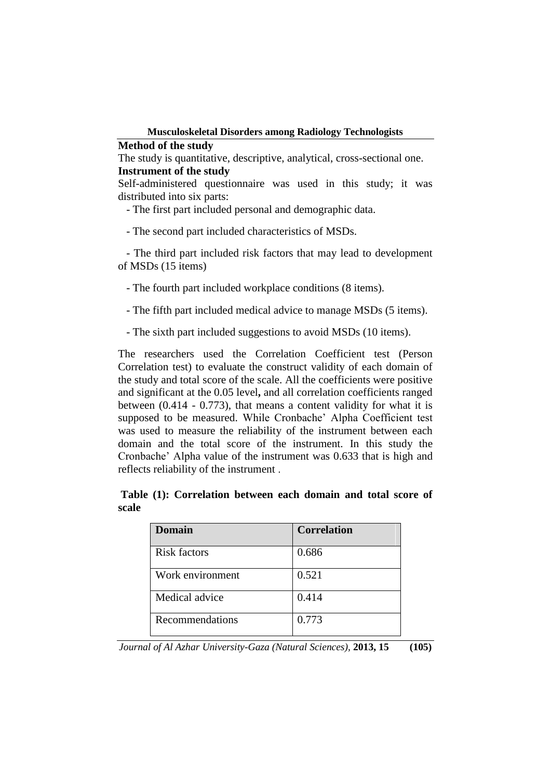### **Method of the study**

The study is quantitative, descriptive, analytical, cross-sectional one. **Instrument of the study**

Self-administered questionnaire was used in this study; it was distributed into six parts:

- The first part included personal and demographic data.

- The second part included characteristics of MSDs.

 - The third part included risk factors that may lead to development of MSDs (15 items)

- The fourth part included workplace conditions (8 items).

- The fifth part included medical advice to manage MSDs (5 items).

- The sixth part included suggestions to avoid MSDs (10 items).

The researchers used the Correlation Coefficient test (Person Correlation test) to evaluate the construct validity of each domain of the study and total score of the scale. All the coefficients were positive and significant at the 0.05 level**,** and all correlation coefficients ranged between (0.414 - 0.773), that means a content validity for what it is supposed to be measured. While Cronbache' Alpha Coefficient test was used to measure the reliability of the instrument between each domain and the total score of the instrument. In this study the Cronbache' Alpha value of the instrument was 0.633 that is high and reflects reliability of the instrument .

|       | Table (1): Correlation between each domain and total score of |  |  |  |  |
|-------|---------------------------------------------------------------|--|--|--|--|
| scale |                                                               |  |  |  |  |

| <b>Domain</b>       | <b>Correlation</b> |
|---------------------|--------------------|
| <b>Risk factors</b> | 0.686              |
| Work environment    | 0.521              |
| Medical advice      | 0.414              |
| Recommendations     | 0.773              |

*Journal of Al Azhar University-Gaza (Natural Sciences),* **2013, 15 (105)**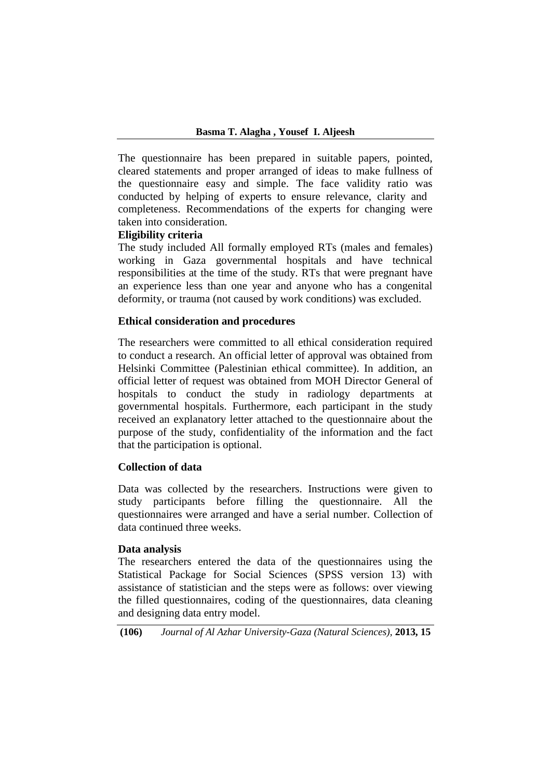The questionnaire has been prepared in suitable papers, pointed, cleared statements and proper arranged of ideas to make fullness of the questionnaire easy and simple. The face validity ratio was conducted by helping of experts to ensure relevance, clarity and completeness. Recommendations of the experts for changing were taken into consideration.

## **Eligibility criteria**

The study included All formally employed RTs (males and females) working in Gaza governmental hospitals and have technical responsibilities at the time of the study. RTs that were pregnant have an experience less than one year and anyone who has a congenital deformity, or trauma (not caused by work conditions) was excluded.

## **Ethical consideration and procedures**

The researchers were committed to all ethical consideration required to conduct a research. An official letter of approval was obtained from Helsinki Committee (Palestinian ethical committee). In addition, an official letter of request was obtained from MOH Director General of hospitals to conduct the study in radiology departments at governmental hospitals. Furthermore, each participant in the study received an explanatory letter attached to the questionnaire about the purpose of the study, confidentiality of the information and the fact that the participation is optional.

## **Collection of data**

Data was collected by the researchers. Instructions were given to study participants before filling the questionnaire. All the questionnaires were arranged and have a serial number. Collection of data continued three weeks.

### **Data analysis**

The researchers entered the data of the questionnaires using the Statistical Package for Social Sciences (SPSS version 13) with assistance of statistician and the steps were as follows: over viewing the filled questionnaires, coding of the questionnaires, data cleaning and designing data entry model.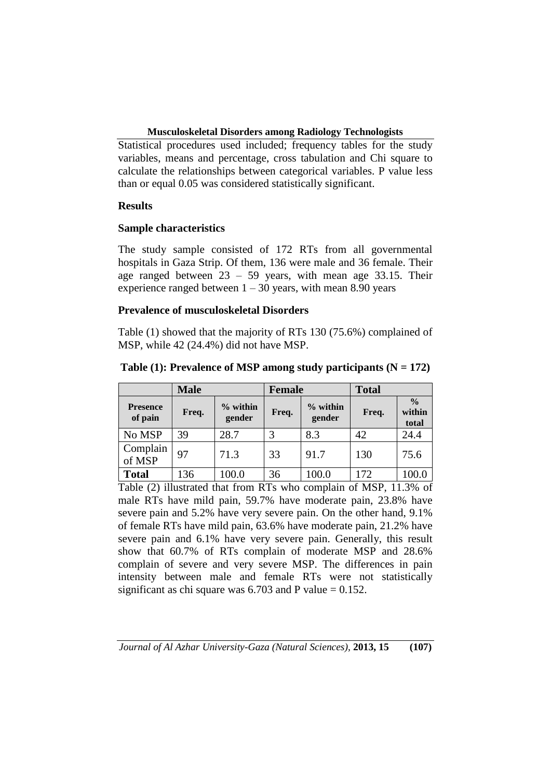Statistical procedures used included; frequency tables for the study variables, means and percentage, cross tabulation and Chi square to calculate the relationships between categorical variables. P value less than or equal 0.05 was considered statistically significant.

# **Results**

# **Sample characteristics**

The study sample consisted of 172 RTs from all governmental hospitals in Gaza Strip. Of them, 136 were male and 36 female. Their age ranged between 23 – 59 years, with mean age 33.15. Their experience ranged between  $1 - 30$  years, with mean 8.90 years

# **Prevalence of musculoskeletal Disorders**

Table (1) showed that the majority of RTs 130 (75.6%) complained of MSP, while 42 (24.4%) did not have MSP.

|                            | <b>Male</b> |                      |       | <b>Female</b>        | <b>Total</b> |                                  |  |
|----------------------------|-------------|----------------------|-------|----------------------|--------------|----------------------------------|--|
| <b>Presence</b><br>of pain | Freq.       | $%$ within<br>gender | Freq. | $%$ within<br>gender | Freq.        | $\frac{0}{0}$<br>within<br>total |  |
| No MSP                     | 39          | 28.7                 | 3     | 8.3                  | 42           | 24.4                             |  |
| Complain<br>of MSP         | 97          | 71.3                 | 33    | 91.7                 | 130          | 75.6                             |  |
| <b>Total</b>               | 136         | 100.0                | 36    | 100.0                | 172          | 100.0                            |  |

**Table (1): Prevalence of MSP among study participants (N = 172)**

Table (2) illustrated that from RTs who complain of MSP, 11.3% of male RTs have mild pain, 59.7% have moderate pain, 23.8% have severe pain and 5.2% have very severe pain. On the other hand, 9.1% of female RTs have mild pain, 63.6% have moderate pain, 21.2% have severe pain and 6.1% have very severe pain. Generally, this result show that 60.7% of RTs complain of moderate MSP and 28.6% complain of severe and very severe MSP. The differences in pain intensity between male and female RTs were not statistically significant as chi square was  $6.703$  and P value = 0.152.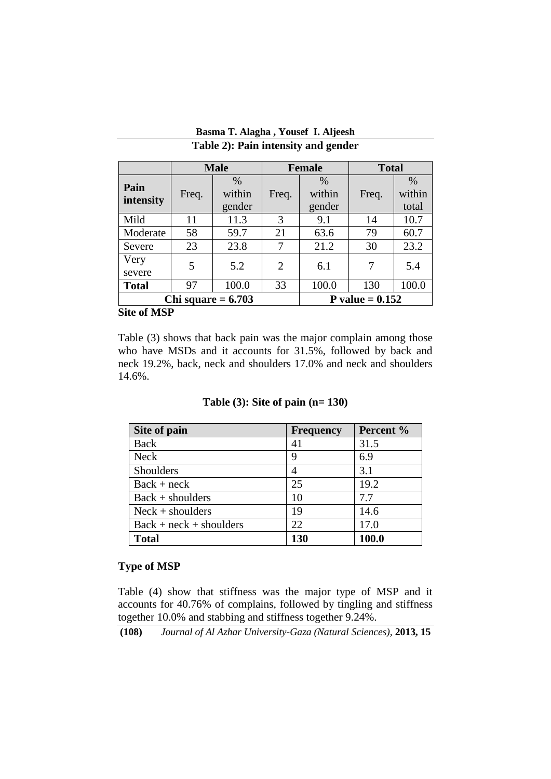|                                           |       | <b>Male</b>              |                | <b>Female</b>            |       | <b>Total</b>            |  |
|-------------------------------------------|-------|--------------------------|----------------|--------------------------|-------|-------------------------|--|
| Pain<br>intensity                         | Freq. | $\%$<br>within<br>gender | Freq.          | $\%$<br>within<br>gender | Freq. | $\%$<br>within<br>total |  |
| Mild                                      | 11    | 11.3                     | 3              | 9.1                      | 14    | 10.7                    |  |
| Moderate                                  | 58    | 59.7                     | 21             | 63.6                     | 79    | 60.7                    |  |
| Severe                                    | 23    | 23.8                     | 7              | 21.2                     | 30    | 23.2                    |  |
| Very<br>severe                            | 5     | 5.2                      | $\overline{2}$ | 6.1                      | 7     | 5.4                     |  |
| <b>Total</b>                              | 97    | 100.0                    | 33             | 100.0                    | 130   | 100.0                   |  |
| Chi square $= 6.703$<br>P value $= 0.152$ |       |                          |                |                          |       |                         |  |

## **Basma T. Alagha , Yousef I. Aljeesh Table 2): Pain intensity and gender**

### **Site of MSP**

Table (3) shows that back pain was the major complain among those who have MSDs and it accounts for 31.5%, followed by back and neck 19.2%, back, neck and shoulders 17.0% and neck and shoulders 14.6%.

## **Table (3): Site of pain (n= 130)**

| Site of pain              | <b>Frequency</b> | Percent % |
|---------------------------|------------------|-----------|
| <b>Back</b>               | 41               | 31.5      |
| <b>Neck</b>               | 9                | 6.9       |
| Shoulders                 |                  | 3.1       |
| $Back + neck$             | 25               | 19.2      |
| $Back + shoulders$        | 10               | 7.7       |
| $Neck + shoulders$        | 19               | 14.6      |
| $Back + neck + shoulders$ | 22               | 17.0      |
| <b>Total</b>              | 130              | 100.0     |

## **Type of MSP**

Table (4) show that stiffness was the major type of MSP and it accounts for 40.76% of complains, followed by tingling and stiffness together 10.0% and stabbing and stiffness together 9.24%.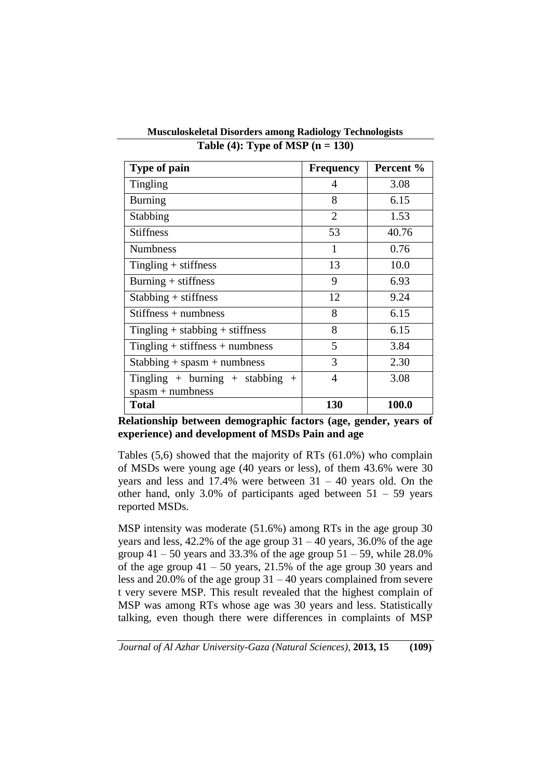| Type of pain                        | <b>Frequency</b> | Percent % |
|-------------------------------------|------------------|-----------|
| <b>Tingling</b>                     | 4                | 3.08      |
| <b>Burning</b>                      | 8                | 6.15      |
| Stabbing                            | $\overline{2}$   | 1.53      |
| <b>Stiffness</b>                    | 53               | 40.76     |
| <b>Numbness</b>                     | 1                | 0.76      |
| $Tingling + stiffness$              | 13               | 10.0      |
| $Burning + stiffness$               | 9                | 6.93      |
| $Stabbing + stiffness$              | 12               | 9.24      |
| $Stiffness + numbers$               | 8                | 6.15      |
| Tingling $+$ stabbing $+$ stiffness | 8                | 6.15      |
| Tingling $+$ stiffness $+$ numbness | 5                | 3.84      |
| $Stabbing + spasm + numbers$        | 3                | 2.30      |
| Tingling + burning + stabbing +     | 4                | 3.08      |
| $spasm + numbers$                   |                  |           |
| <b>Total</b>                        | 130              | 100.0     |

**Musculoskeletal Disorders among Radiology Technologists Table (4): Type of MSP (n = 130)**

**Relationship between demographic factors (age, gender, years of experience) and development of MSDs Pain and age**

Tables (5,6) showed that the majority of RTs (61.0%) who complain of MSDs were young age (40 years or less), of them 43.6% were 30 years and less and  $17.4\%$  were between  $31 - 40$  years old. On the other hand, only 3.0% of participants aged between  $51 - 59$  years reported MSDs.

MSP intensity was moderate (51.6%) among RTs in the age group 30 years and less,  $42.2\%$  of the age group  $31 - 40$  years,  $36.0\%$  of the age group  $41 - 50$  years and 33.3% of the age group  $51 - 59$ , while 28.0% of the age group  $41 - 50$  years,  $21.5\%$  of the age group 30 years and less and 20.0% of the age group 31 – 40 years complained from severe t very severe MSP. This result revealed that the highest complain of MSP was among RTs whose age was 30 years and less. Statistically talking, even though there were differences in complaints of MSP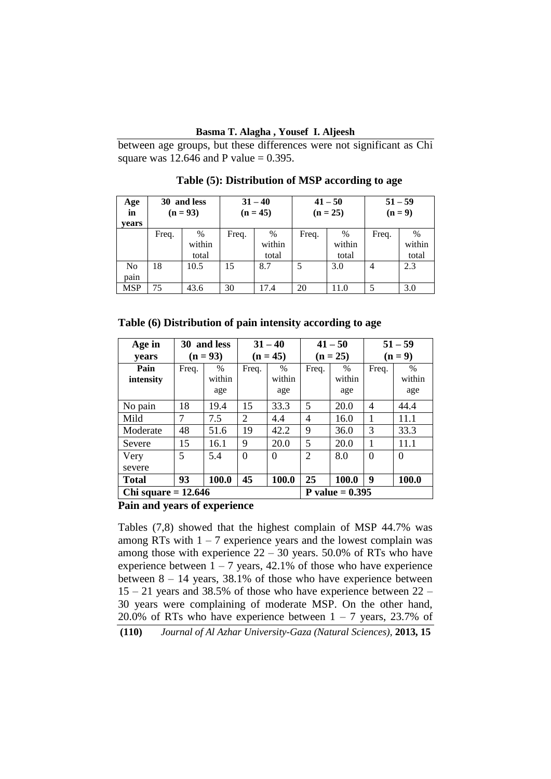### **Basma T. Alagha , Yousef I. Aljeesh**

between age groups, but these differences were not significant as Chi square was  $12.646$  and P value = 0.395.

| Age<br>in<br>vears     | 30 and less<br>$(n = 93)$ |                      | $31 - 40$<br>$(n = 45)$ |                      | $41 - 50$<br>$(n = 25)$ |                         | $51 - 59$<br>$(n=9)$ |                         |
|------------------------|---------------------------|----------------------|-------------------------|----------------------|-------------------------|-------------------------|----------------------|-------------------------|
|                        | Freq.                     | %<br>within<br>total | Freq.                   | %<br>within<br>total | Freq.                   | $\%$<br>within<br>total | Freq.                | $\%$<br>within<br>total |
| N <sub>o</sub><br>pain | 18                        | 10.5                 | 15                      | 8.7                  | 5                       | 3.0                     | $\overline{4}$       | 2.3                     |
| <b>MSP</b>             | 75                        | 43.6                 | 30                      | 17.4                 | 20                      | 11.0                    | 5                    | 3.0                     |

 **Table (5): Distribution of MSP according to age**

**Table (6) Distribution of pain intensity according to age**

| Age in                | 30 and less |            | $31 - 40$      |          | $41 - 50$         |               | $51 - 59$ |          |
|-----------------------|-------------|------------|----------------|----------|-------------------|---------------|-----------|----------|
| years                 |             | $(n = 93)$ | $(n = 45)$     |          | $(n = 25)$        |               | $(n=9)$   |          |
| Pain                  | Freq.       | $\%$       | Freq.          | $\%$     | Freq.             | $\frac{0}{0}$ | Freq.     | $\%$     |
| intensity             |             | within     |                | within   |                   | within        |           | within   |
|                       |             | age        |                | age      |                   | age           |           | age      |
| No pain               | 18          | 19.4       | 15             | 33.3     | 5                 | 20.0          | 4         | 44.4     |
| Mild                  | 7           | 7.5        | $\overline{2}$ | 4.4      | 4                 | 16.0          |           | 11.1     |
| Moderate              | 48          | 51.6       | 19             | 42.2     | 9                 | 36.0          | 3         | 33.3     |
| Severe                | 15          | 16.1       | 9              | 20.0     | 5                 | 20.0          | 1         | 11.1     |
| Very                  | 5           | 5.4        | $\Omega$       | $\Omega$ | $\overline{2}$    | 8.0           | $\Omega$  | $\Omega$ |
| severe                |             |            |                |          |                   |               |           |          |
| <b>Total</b>          | 93          | 100.0      | 45             | 100.0    | 25                | 100.0         | 9         | 100.0    |
| Chi square $= 12.646$ |             |            |                |          | P value $= 0.395$ |               |           |          |

**Pain and years of experience**

Tables (7,8) showed that the highest complain of MSP 44.7% was among RTs with  $1 - 7$  experience years and the lowest complain was among those with experience  $22 - 30$  years. 50.0% of RTs who have experience between  $1 - 7$  years, 42.1% of those who have experience between  $8 - 14$  years, 38.1% of those who have experience between 15 – 21 years and 38.5% of those who have experience between 22 – 30 years were complaining of moderate MSP. On the other hand, 20.0% of RTs who have experience between  $1 - 7$  years, 23.7% of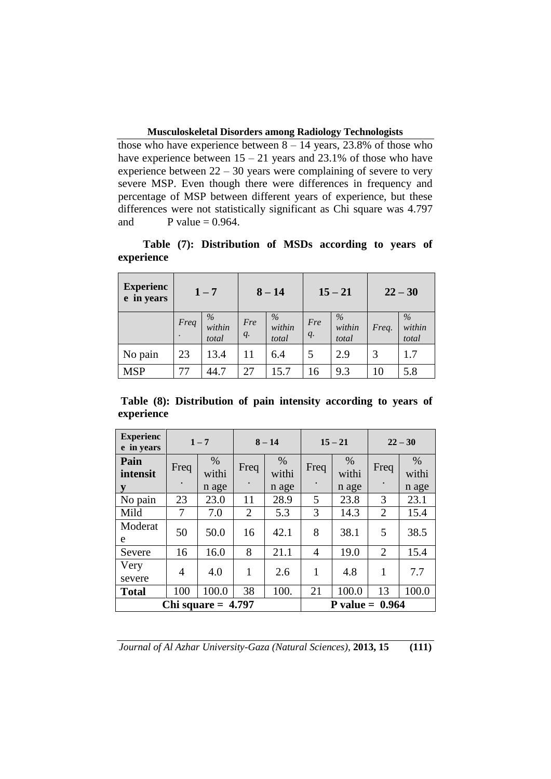those who have experience between  $8 - 14$  years, 23.8% of those who have experience between  $15 - 21$  years and  $23.1\%$  of those who have experience between  $22 - 30$  years were complaining of severe to very severe MSP. Even though there were differences in frequency and percentage of MSP between different years of experience, but these differences were not statistically significant as Chi square was 4.797 and P value  $= 0.964$ .

| <b>Experienc</b><br>e in years |      | $1 - 7$                 |                    | $8 - 14$             | $15 - 21$          |                         | $22 - 30$ |                         |
|--------------------------------|------|-------------------------|--------------------|----------------------|--------------------|-------------------------|-----------|-------------------------|
|                                | Freq | $\%$<br>within<br>total | Fre<br>$q_{\cdot}$ | %<br>within<br>total | Fre<br>$q_{\cdot}$ | $\%$<br>within<br>total | Freq.     | $\%$<br>within<br>total |
| No pain                        | 23   | 13.4                    | 11                 | 6.4                  | 5                  | 2.9                     | 3         | 1.7                     |
| <b>MSP</b>                     | 77   | 44.7                    | 27                 | 15.7                 | 16                 | 9.3                     | 10        | 5.8                     |

 **Table (7): Distribution of MSDs according to years of experience** 

**Table (8): Distribution of pain intensity according to years of experience** 

| <b>Experienc</b><br>e in years |      | $1 - 7$                |                | $8 - 14$               | $15 - 21$         |                        | $22 - 30$      |                        |
|--------------------------------|------|------------------------|----------------|------------------------|-------------------|------------------------|----------------|------------------------|
| Pain<br>intensit               | Freq | $\%$<br>withi<br>n age | Freq           | $\%$<br>withi<br>n age | Freq              | $\%$<br>withi<br>n age | Freq           | $\%$<br>withi<br>n age |
| y<br>No pain                   | 23   | 23.0                   | 11             | 28.9                   | 5                 | 23.8                   | 3              | 23.1                   |
| Mild                           | 7    | 7.0                    | $\overline{2}$ | 5.3                    | 3                 | 14.3                   | $\overline{2}$ | 15.4                   |
| Moderat<br>e                   | 50   | 50.0                   | 16             | 42.1                   | 8                 | 38.1                   | 5              | 38.5                   |
| Severe                         | 16   | 16.0                   | 8              | 21.1                   | $\overline{4}$    | 19.0                   | $\overline{2}$ | 15.4                   |
| Very<br>severe                 | 4    | 4.0                    | 1              | 2.6                    | 1                 | 4.8                    | 1              | 7.7                    |
| <b>Total</b>                   | 100  | 100.0                  | 38             | 100.                   | 21                | 100.0                  | 13             | 100.0                  |
|                                |      | Chi square $= 4.797$   |                |                        | P value = $0.964$ |                        |                |                        |

*Journal of Al Azhar University-Gaza (Natural Sciences),* **2013, 15 (111)**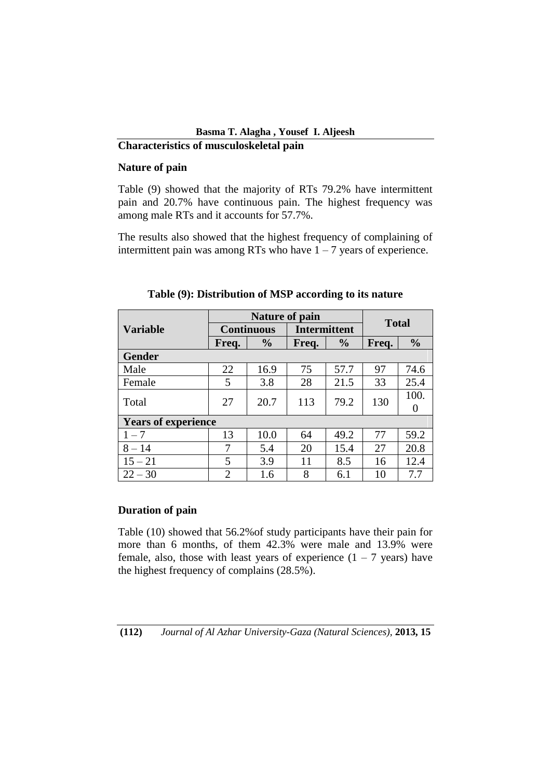# **Basma T. Alagha , Yousef I. Aljeesh Characteristics of musculoskeletal pain**

# **Nature of pain**

Table (9) showed that the majority of RTs 79.2% have intermittent pain and 20.7% have continuous pain. The highest frequency was among male RTs and it accounts for 57.7%.

The results also showed that the highest frequency of complaining of intermittent pain was among RTs who have  $1 - 7$  years of experience.

|                            |                | <b>Nature of pain</b> |                     | <b>Total</b>  |       |               |  |
|----------------------------|----------------|-----------------------|---------------------|---------------|-------|---------------|--|
| <b>Variable</b>            |                | <b>Continuous</b>     | <b>Intermittent</b> |               |       |               |  |
|                            | Freq.          | $\frac{6}{6}$         | Freq.               | $\frac{0}{0}$ | Freq. | $\frac{0}{0}$ |  |
| <b>Gender</b>              |                |                       |                     |               |       |               |  |
| Male                       | 22             | 16.9                  | 75                  | 57.7          | 97    | 74.6          |  |
| Female                     | 5              | 3.8                   | 28                  | 21.5          | 33    | 25.4          |  |
| Total                      | 27             | 20.7                  | 113                 | 79.2          | 130   | 100.          |  |
| <b>Years of experience</b> |                |                       |                     |               |       |               |  |
| $1 - 7$                    | 13             | 10.0                  | 64                  | 49.2          | 77    | 59.2          |  |
| $8 - 14$                   | 7              | 5.4                   | 20                  | 15.4          | 27    | 20.8          |  |
| $15 - 21$                  | 5              | 3.9                   | 11                  | 8.5           | 16    | 12.4          |  |
| $22 - 30$                  | $\overline{2}$ | 1.6                   | 8                   | 6.1           | 10    | 7.7           |  |

# **Table (9): Distribution of MSP according to its nature**

# **Duration of pain**

Table (10) showed that 56.2%of study participants have their pain for more than 6 months, of them 42.3% were male and 13.9% were female, also, those with least years of experience  $(1 - 7 \text{ years})$  have the highest frequency of complains (28.5%).

**(112)** *Journal of Al Azhar University-Gaza (Natural Sciences),* **2013, 15**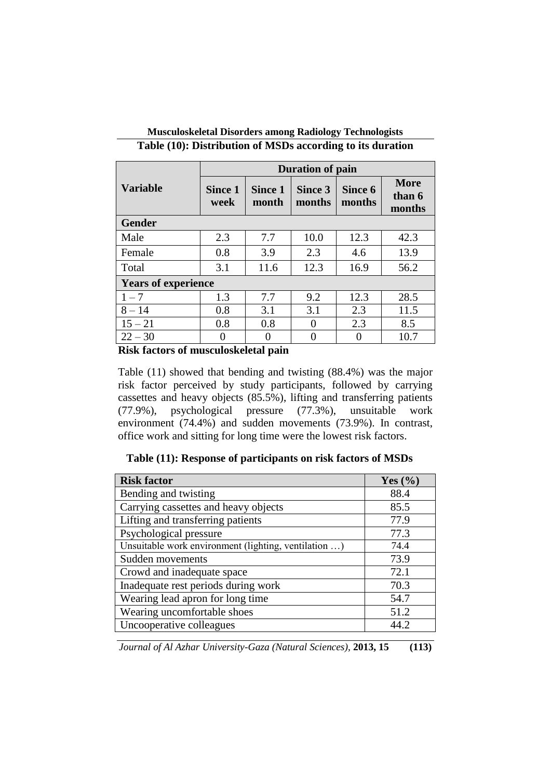|                            | <b>Duration of pain</b>                           |      |                   |                   |                                 |  |  |  |  |
|----------------------------|---------------------------------------------------|------|-------------------|-------------------|---------------------------------|--|--|--|--|
| <b>Variable</b>            | <b>Since 1</b><br><b>Since 1</b><br>week<br>month |      | Since 3<br>months | Since 6<br>months | <b>More</b><br>than 6<br>months |  |  |  |  |
| <b>Gender</b>              |                                                   |      |                   |                   |                                 |  |  |  |  |
| Male                       | 2.3                                               | 7.7  | 10.0              | 12.3              | 42.3                            |  |  |  |  |
| Female                     | 0.8                                               | 3.9  | 2.3               | 4.6               | 13.9                            |  |  |  |  |
| Total                      | 3.1                                               | 11.6 | 12.3              | 16.9              | 56.2                            |  |  |  |  |
| <b>Years of experience</b> |                                                   |      |                   |                   |                                 |  |  |  |  |
| $1 - 7$                    | 1.3                                               | 7.7  | 9.2               | 12.3              | 28.5                            |  |  |  |  |
| $8 - 14$                   | 0.8                                               | 3.1  | 3.1               | 2.3               | 11.5                            |  |  |  |  |
| $15 - 21$                  | 0.8                                               | 0.8  |                   | 2.3               | 8.5                             |  |  |  |  |
| $22 - 30$                  |                                                   |      | $\mathcal{O}$     | $\left( \right)$  | 10.7                            |  |  |  |  |

# **Musculoskeletal Disorders among Radiology Technologists Table (10): Distribution of MSDs according to its duration**

**Risk factors of musculoskeletal pain**

Table (11) showed that bending and twisting (88.4%) was the major risk factor perceived by study participants, followed by carrying cassettes and heavy objects (85.5%), lifting and transferring patients (77.9%), psychological pressure (77.3%), unsuitable work environment (74.4%) and sudden movements (73.9%). In contrast, office work and sitting for long time were the lowest risk factors.

 **Table (11): Response of participants on risk factors of MSDs**

| <b>Risk factor</b>                                   | Yes $(\% )$ |
|------------------------------------------------------|-------------|
| Bending and twisting                                 | 88.4        |
| Carrying cassettes and heavy objects                 | 85.5        |
| Lifting and transferring patients                    | 77.9        |
| Psychological pressure                               | 77.3        |
| Unsuitable work environment (lighting, ventilation ) | 74.4        |
| Sudden movements                                     | 73.9        |
| Crowd and inadequate space                           | 72.1        |
| Inadequate rest periods during work                  | 70.3        |
| Wearing lead apron for long time                     | 54.7        |
| Wearing uncomfortable shoes                          | 51.2        |
| Uncooperative colleagues                             | 44 J        |

*Journal of Al Azhar University-Gaza (Natural Sciences),* **2013, 15 (113)**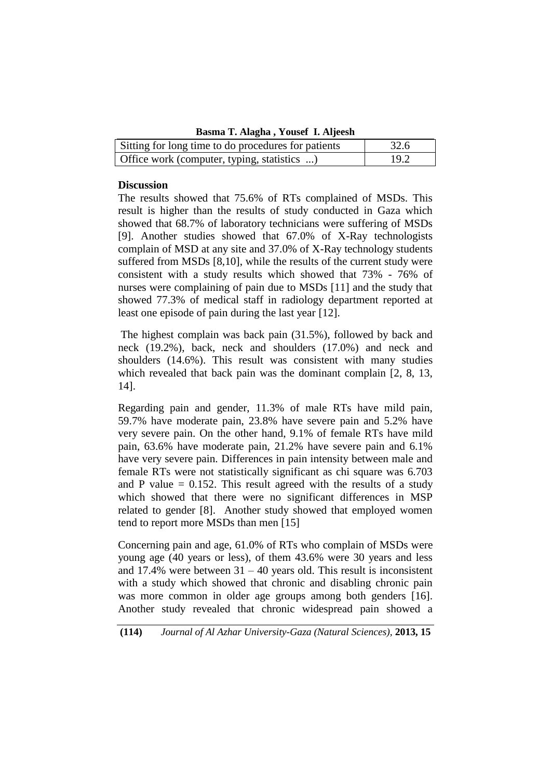**Basma T. Alagha , Yousef I. Aljeesh** 

| Sitting for long time to do procedures for patients | 32.6 |
|-----------------------------------------------------|------|
| Office work (computer, typing, statistics )         | 19.2 |

### **Discussion**

The results showed that 75.6% of RTs complained of MSDs. This result is higher than the results of study conducted in Gaza which showed that 68.7% of laboratory technicians were suffering of MSDs [9]. Another studies showed that 67.0% of X-Ray technologists complain of MSD at any site and 37.0% of X-Ray technology students suffered from MSDs [8,10], while the results of the current study were consistent with a study results which showed that 73% - 76% of nurses were complaining of pain due to MSDs [11] and the study that showed 77.3% of medical staff in radiology department reported at least one episode of pain during the last year [12].

The highest complain was back pain (31.5%), followed by back and neck (19.2%), back, neck and shoulders (17.0%) and neck and shoulders (14.6%). This result was consistent with many studies which revealed that back pain was the dominant complain [2, 8, 13, 14].

Regarding pain and gender, 11.3% of male RTs have mild pain, 59.7% have moderate pain, 23.8% have severe pain and 5.2% have very severe pain. On the other hand, 9.1% of female RTs have mild pain, 63.6% have moderate pain, 21.2% have severe pain and 6.1% have very severe pain. Differences in pain intensity between male and female RTs were not statistically significant as chi square was 6.703 and P value  $= 0.152$ . This result agreed with the results of a study which showed that there were no significant differences in MSP related to gender [8]. Another study showed that employed women tend to report more MSDs than men [15]

Concerning pain and age, 61.0% of RTs who complain of MSDs were young age (40 years or less), of them 43.6% were 30 years and less and 17.4% were between  $31 - 40$  years old. This result is inconsistent with a study which showed that chronic and disabling chronic pain was more common in older age groups among both genders [16]. Another study revealed that chronic widespread pain showed a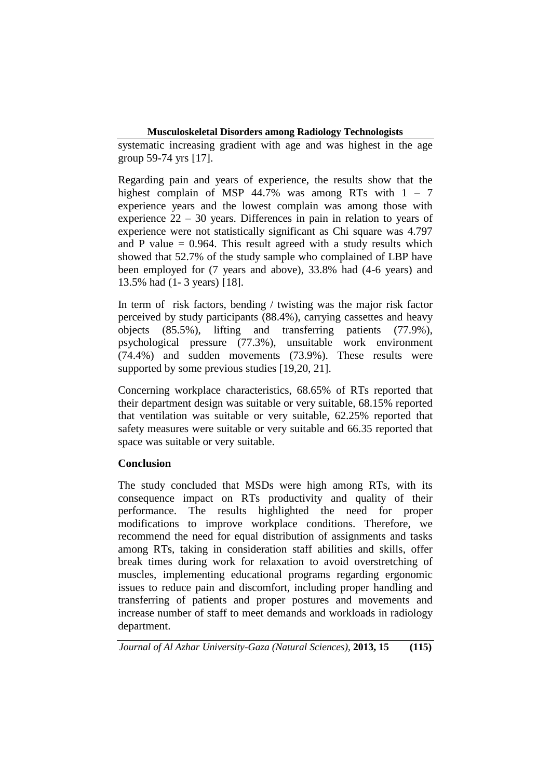systematic increasing gradient with age and was highest in the age group 59-74 yrs [17].

Regarding pain and years of experience, the results show that the highest complain of MSP 44.7% was among RTs with  $1 - 7$ experience years and the lowest complain was among those with experience 22 – 30 years. Differences in pain in relation to years of experience were not statistically significant as Chi square was 4.797 and P value  $= 0.964$ . This result agreed with a study results which showed that 52.7% of the study sample who complained of LBP have been employed for (7 years and above), 33.8% had (4-6 years) and 13.5% had (1- 3 years) [18].

In term of risk factors, bending / twisting was the major risk factor perceived by study participants (88.4%), carrying cassettes and heavy objects (85.5%), lifting and transferring patients (77.9%), psychological pressure (77.3%), unsuitable work environment (74.4%) and sudden movements (73.9%). These results were supported by some previous studies [19,20, 21].

Concerning workplace characteristics, 68.65% of RTs reported that their department design was suitable or very suitable, 68.15% reported that ventilation was suitable or very suitable, 62.25% reported that safety measures were suitable or very suitable and 66.35 reported that space was suitable or very suitable.

## **Conclusion**

The study concluded that MSDs were high among RTs, with its consequence impact on RTs productivity and quality of their performance. The results highlighted the need for proper modifications to improve workplace conditions. Therefore, we recommend the need for equal distribution of assignments and tasks among RTs, taking in consideration staff abilities and skills, offer break times during work for relaxation to avoid overstretching of muscles, implementing educational programs regarding ergonomic issues to reduce pain and discomfort, including proper handling and transferring of patients and proper postures and movements and increase number of staff to meet demands and workloads in radiology department.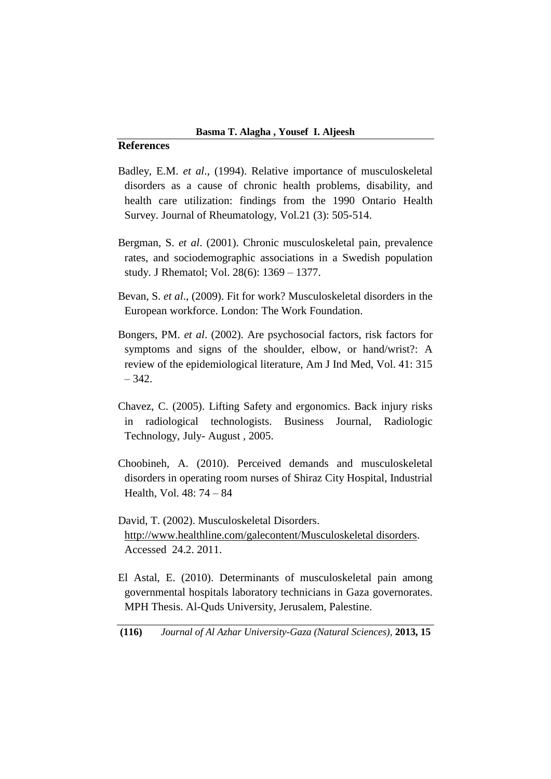### **References**

- Badley, E.M. *et al*., (1994). Relative importance of musculoskeletal disorders as a cause of chronic health problems, disability, and health care utilization: findings from the 1990 Ontario Health Survey. Journal of Rheumatology, Vol.21 (3): 505-514.
- Bergman, S. *et al*. (2001). Chronic musculoskeletal pain, prevalence rates, and sociodemographic associations in a Swedish population study. J Rhematol; Vol. 28(6): 1369 – 1377.
- Bevan, S. *et al*., (2009). Fit for work? Musculoskeletal disorders in the European workforce. London: The Work Foundation.
- Bongers, PM. *et al*. (2002). Are psychosocial factors, risk factors for symptoms and signs of the shoulder, elbow, or hand/wrist?: A review of the epidemiological literature, Am J Ind Med, Vol. 41: 315  $-342.$
- Chavez, C. (2005). Lifting Safety and ergonomics. Back injury risks in radiological technologists. Business Journal, Radiologic Technology, July- August , 2005.
- Choobineh, A. (2010). Perceived demands and musculoskeletal disorders in operating room nurses of Shiraz City Hospital, Industrial Health, Vol. 48: 74 – 84

David, T. (2002). Musculoskeletal Disorders. http://www.healthline.com/galecontent/Musculoskeletal disorders. Accessed 24.2. 2011.

El Astal, E. (2010). Determinants of musculoskeletal pain among governmental hospitals laboratory technicians in Gaza governorates. MPH Thesis. Al-Quds University, Jerusalem, Palestine.

**(116)** *Journal of Al Azhar University-Gaza (Natural Sciences),* **2013, 15**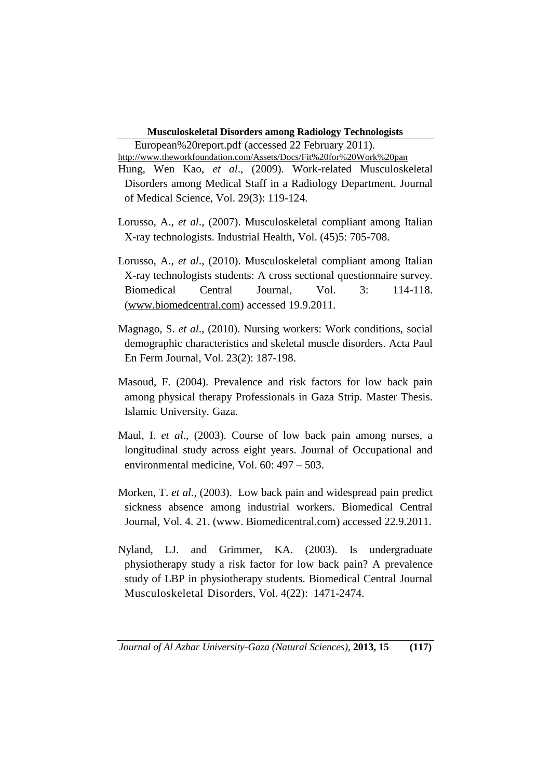European%20report.pdf (accessed 22 February 2011).

<http://www.theworkfoundation.com/Assets/Docs/Fit%20for%20Work%20pan> Hung, Wen Kao, *et al*., (2009). Work-related Musculoskeletal Disorders among Medical Staff in a Radiology Department. Journal of Medical Science*,* Vol. 29(3): 119-124.

- Lorusso, A., *et al*., (2007). Musculoskeletal compliant among Italian X-ray technologists. Industrial Health, Vol. (45)5: 705-708.
- Lorusso, A., *et al*., (2010). Musculoskeletal compliant among Italian X-ray technologists students: A cross sectional questionnaire survey. Biomedical Central Journal, Vol. 3: 114-118. [\(www.biomedcentral.com\)](http://www.biomedcentral.com/) accessed 19.9.2011.
- Magnago, S. *et al*., (2010). Nursing workers: Work conditions, social demographic characteristics and skeletal muscle disorders. Acta Paul En Ferm Journal, Vol. 23(2): 187-198.
- Masoud, F. (2004). Prevalence and risk factors for low back pain among physical therapy Professionals in Gaza Strip. Master Thesis. Islamic University. Gaza.
- Maul, I. *et al*., (2003). Course of low back pain among nurses, a longitudinal study across eight years. Journal of Occupational and environmental medicine, Vol. 60: 497 – 503.
- Morken, T. *et al*., (2003). Low back pain and widespread pain predict sickness absence among industrial workers. Biomedical Central Journal, Vol. 4. 21. (www. Biomedicentral.com) accessed 22.9.2011.
- Nyland, LJ. and Grimmer, KA. (2003). Is undergraduate physiotherapy study a risk factor for low back pain? A prevalence study of LBP in physiotherapy students. Biomedical Central Journal Musculoskeletal Disorders, Vol. 4(22): 1471-2474.

*Journal of Al Azhar University-Gaza (Natural Sciences),* **2013, 15 (117)**